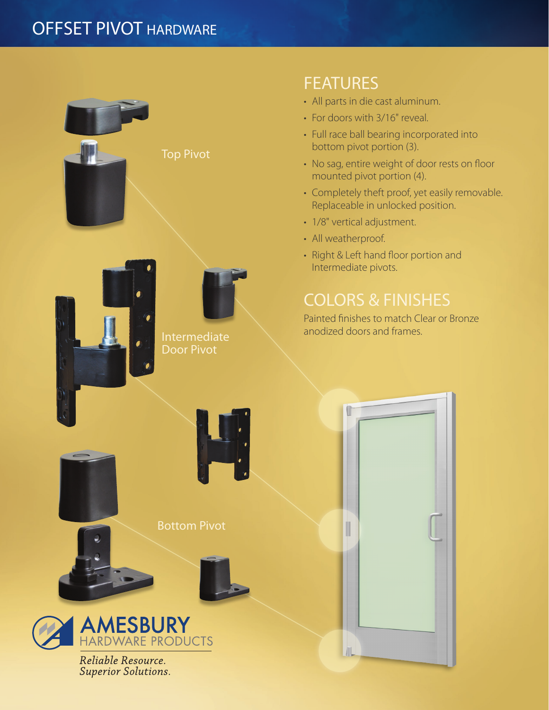## OFFSET PIVOT HARDWARE



## FEATURES

- All parts in die cast aluminum.
- For doors with 3/16" reveal.
- Full race ball bearing incorporated into bottom pivot portion (3).
- No sag, entire weight of door rests on floor mounted pivot portion (4).
- Completely theft proof, yet easily removable. Replaceable in unlocked position.
- 1/8" vertical adjustment.
- All weatherproof.
- Right & Left hand floor portion and Intermediate pivots.

Painted finishes to match Clear or Bronze